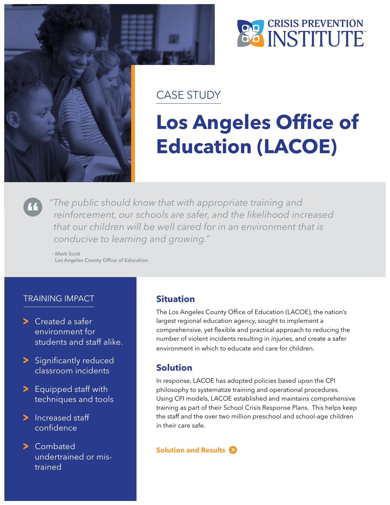



# CASE STUDY

# **Los Angeles Office of Education (LACOE)**

*"The public should know that with appropriate training and reinforcement, our schools are safer, and the likelihood increased that our children will be well cared for in an environment that is conducive to learning and growing."*

– Mark Scott Los Angeles County Office of Education

# TRAINING IMPACT

- Created a safer environment for students and staff alike.
- > Significantly reduced classroom incidents
- > Equipped staff with techniques and tools
- > Increased staff confidence
- > Combated undertrained or mistrained

### **Situation**

The Los Angeles County Office of Education (LACOE), the nation's largest regional education agency, sought to implement a comprehensive, yet flexible and practical approach to reducing the number of violent incidents resulting in injuries, and create a safer environment in which to educate and care for children.

# **Solution**

In response, LACOE has adopted policies based upon the CPI philosophy to systematize training and operational procedures. Using CPI models, LACOE established and maintains comprehensive training as part of their School Crisis Response Plans. This helps keep the staff and the over two million preschool and school-age children in their care safe.

#### **Solution and Results**